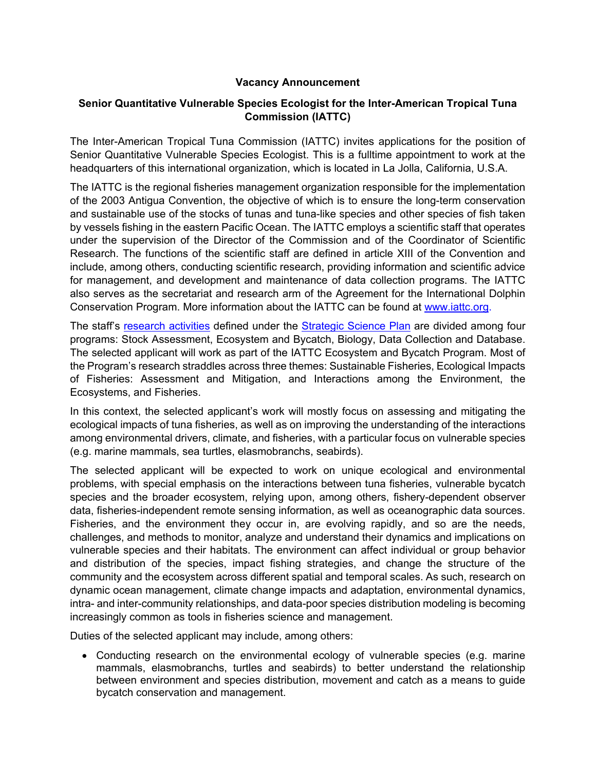## **Vacancy Announcement**

## **Senior Quantitative Vulnerable Species Ecologist for the Inter-American Tropical Tuna Commission (IATTC)**

The Inter-American Tropical Tuna Commission (IATTC) invites applications for the position of Senior Quantitative Vulnerable Species Ecologist. This is a fulltime appointment to work at the headquarters of this international organization, which is located in La Jolla, California, U.S.A.

The IATTC is the regional fisheries management organization responsible for the implementation of the 2003 Antigua Convention, the objective of which is to ensure the long-term conservation and sustainable use of the stocks of tunas and tuna-like species and other species of fish taken by vessels fishing in the eastern Pacific Ocean. The IATTC employs a scientific staff that operates under the supervision of the Director of the Commission and of the Coordinator of Scientific Research. The functions of the scientific staff are defined in article XIII of the Convention and include, among others, conducting scientific research, providing information and scientific advice for management, and development and maintenance of data collection programs. The IATTC also serves as the secretariat and research arm of the Agreement for the International Dolphin Conservation Program. More information about the IATTC can be found at [www.iattc.org.](http://www.iattc.org/)

The staff's [research activities](https://www.iattc.org/Meetings/Meetings2021/IATTC-98b/Docs/_English/IATTC-98b-02a_Staff%20activities%20and%20research%20plan.pdf) defined under the [Strategic Science Plan](http://www.iattc.org/Meetings/Meetings2018/IATTC-93/Docs/_English/IATTC-93-06a_Strategic%20Science%20Plan.pdf) are divided among four programs: Stock Assessment, Ecosystem and Bycatch, Biology, Data Collection and Database. The selected applicant will work as part of the IATTC Ecosystem and Bycatch Program. Most of the Program's research straddles across three themes: Sustainable Fisheries, Ecological Impacts of Fisheries: Assessment and Mitigation, and Interactions among the Environment, the Ecosystems, and Fisheries.

In this context, the selected applicant's work will mostly focus on assessing and mitigating the ecological impacts of tuna fisheries, as well as on improving the understanding of the interactions among environmental drivers, climate, and fisheries, with a particular focus on vulnerable species (e.g. marine mammals, sea turtles, elasmobranchs, seabirds).

The selected applicant will be expected to work on unique ecological and environmental problems, with special emphasis on the interactions between tuna fisheries, vulnerable bycatch species and the broader ecosystem, relying upon, among others, fishery-dependent observer data, fisheries-independent remote sensing information, as well as oceanographic data sources. Fisheries, and the environment they occur in, are evolving rapidly, and so are the needs, challenges, and methods to monitor, analyze and understand their dynamics and implications on vulnerable species and their habitats. The environment can affect individual or group behavior and distribution of the species, impact fishing strategies, and change the structure of the community and the ecosystem across different spatial and temporal scales. As such, research on dynamic ocean management, climate change impacts and adaptation, environmental dynamics, intra- and inter-community relationships, and data-poor species distribution modeling is becoming increasingly common as tools in fisheries science and management.

Duties of the selected applicant may include, among others:

• Conducting research on the environmental ecology of vulnerable species (e.g. marine mammals, elasmobranchs, turtles and seabirds) to better understand the relationship between environment and species distribution, movement and catch as a means to guide bycatch conservation and management.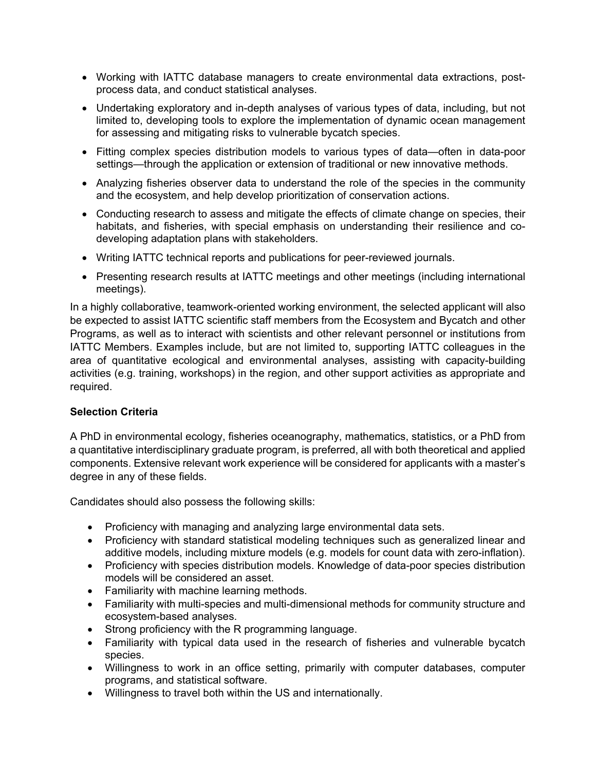- Working with IATTC database managers to create environmental data extractions, postprocess data, and conduct statistical analyses.
- Undertaking exploratory and in-depth analyses of various types of data, including, but not limited to, developing tools to explore the implementation of dynamic ocean management for assessing and mitigating risks to vulnerable bycatch species.
- Fitting complex species distribution models to various types of data—often in data-poor settings—through the application or extension of traditional or new innovative methods.
- Analyzing fisheries observer data to understand the role of the species in the community and the ecosystem, and help develop prioritization of conservation actions.
- Conducting research to assess and mitigate the effects of climate change on species, their habitats, and fisheries, with special emphasis on understanding their resilience and codeveloping adaptation plans with stakeholders.
- Writing IATTC technical reports and publications for peer-reviewed journals.
- Presenting research results at IATTC meetings and other meetings (including international meetings).

In a highly collaborative, teamwork-oriented working environment, the selected applicant will also be expected to assist IATTC scientific staff members from the Ecosystem and Bycatch and other Programs, as well as to interact with scientists and other relevant personnel or institutions from IATTC Members. Examples include, but are not limited to, supporting IATTC colleagues in the area of quantitative ecological and environmental analyses, assisting with capacity-building activities (e.g. training, workshops) in the region, and other support activities as appropriate and required.

# **Selection Criteria**

A PhD in environmental ecology, fisheries oceanography, mathematics, statistics, or a PhD from a quantitative interdisciplinary graduate program, is preferred, all with both theoretical and applied components. Extensive relevant work experience will be considered for applicants with a master's degree in any of these fields.

Candidates should also possess the following skills:

- Proficiency with managing and analyzing large environmental data sets.
- Proficiency with standard statistical modeling techniques such as generalized linear and additive models, including mixture models (e.g. models for count data with zero-inflation).
- Proficiency with species distribution models. Knowledge of data-poor species distribution models will be considered an asset.
- Familiarity with machine learning methods.
- Familiarity with multi-species and multi-dimensional methods for community structure and ecosystem-based analyses.
- Strong proficiency with the R programming language.
- Familiarity with typical data used in the research of fisheries and vulnerable bycatch species.
- Willingness to work in an office setting, primarily with computer databases, computer programs, and statistical software.
- Willingness to travel both within the US and internationally.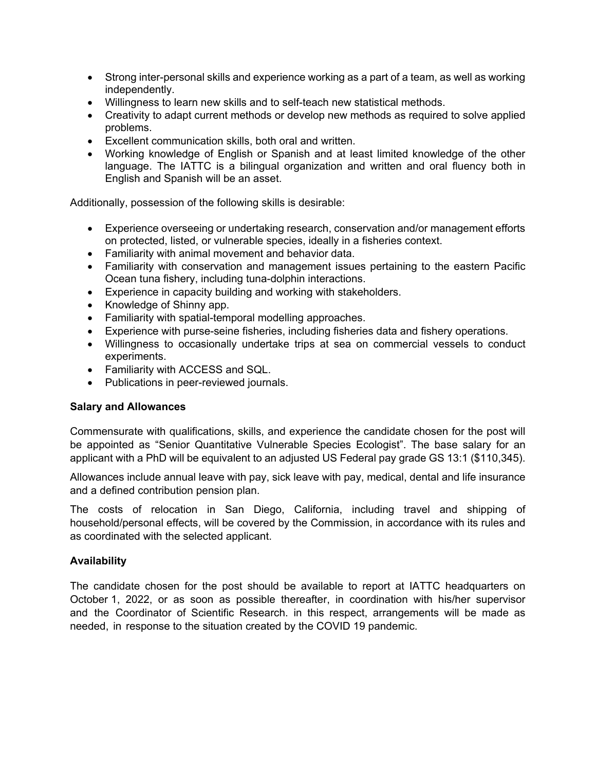- Strong inter-personal skills and experience working as a part of a team, as well as working independently.
- Willingness to learn new skills and to self-teach new statistical methods.
- Creativity to adapt current methods or develop new methods as required to solve applied problems.
- Excellent communication skills, both oral and written.
- Working knowledge of English or Spanish and at least limited knowledge of the other language. The IATTC is a bilingual organization and written and oral fluency both in English and Spanish will be an asset.

Additionally, possession of the following skills is desirable:

- Experience overseeing or undertaking research, conservation and/or management efforts on protected, listed, or vulnerable species, ideally in a fisheries context.
- Familiarity with animal movement and behavior data.
- Familiarity with conservation and management issues pertaining to the eastern Pacific Ocean tuna fishery, including tuna-dolphin interactions.
- Experience in capacity building and working with stakeholders.
- Knowledge of Shinny app.
- Familiarity with spatial-temporal modelling approaches.
- Experience with purse-seine fisheries, including fisheries data and fishery operations.
- Willingness to occasionally undertake trips at sea on commercial vessels to conduct experiments.
- Familiarity with ACCESS and SQL.
- Publications in peer-reviewed journals.

## **Salary and Allowances**

Commensurate with qualifications, skills, and experience the candidate chosen for the post will be appointed as "Senior Quantitative Vulnerable Species Ecologist". The base salary for an applicant with a PhD will be equivalent to an adjusted US Federal pay grade GS 13:1 (\$110,345).

Allowances include annual leave with pay, sick leave with pay, medical, dental and life insurance and a defined contribution pension plan.

The costs of relocation in San Diego, California, including travel and shipping of household/personal effects, will be covered by the Commission, in accordance with its rules and as coordinated with the selected applicant.

## **Availability**

The candidate chosen for the post should be available to report at IATTC headquarters on October 1, 2022, or as soon as possible thereafter, in coordination with his/her supervisor and the Coordinator of Scientific Research. in this respect, arrangements will be made as needed, in response to the situation created by the COVID 19 pandemic.